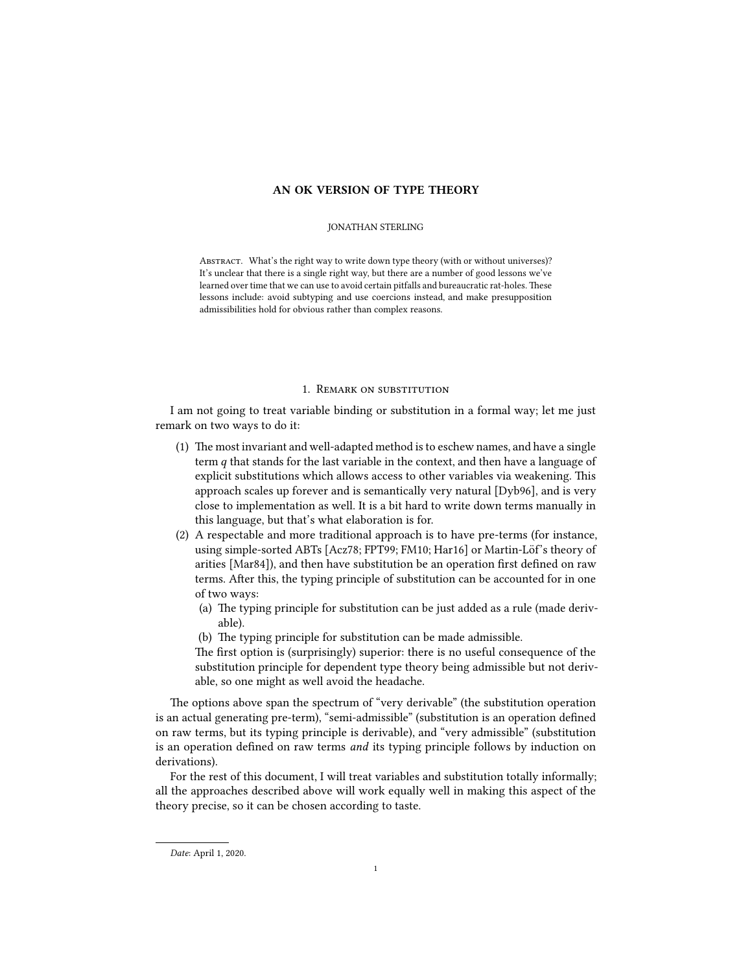# AN OK VERSION OF TYPE THEORY

## JONATHAN STERLING

ABSTRACT. What's the right way to write down type theory (with or without universes)? It's unclear that there is a single right way, but there are a number of good lessons we've learned over time that we can use to avoid certain pitfalls and bureaucratic rat-holes. These lessons include: avoid subtyping and use coercions instead, and make presupposition admissibilities hold for obvious rather than complex reasons.

## 1. Remark on substitution

I am not going to treat variable binding or substitution in a formal way; let me just remark on two ways to do it:

- $(1)$  The most invariant and well-adapted method is to eschew names, and have a single term q that stands for the last variable in the context, and then have a language of explicit substitutions which allows access to other variables via weakening. This approach scales up forever and is semantically very natural [Dyb96], and is very close to implementation as well. It is a bit hard to write down terms manually in this language, but that's what elaboration is for.
- (2) A respectable and more traditional approach is to have pre-terms (for instance, using simple-sorted ABTs [Acz78; FPT99; FM10; Har16] or Martin-Löf's theory of arities [Mar84]), and then have substitution be an operation first defined on raw terms. After this, the typing principle of substitution can be accounted for in one of two ways:
	- (a) The typing principle for substitution can be just added as a rule (made derivable).
	- (b) The typing principle for substitution can be made admissible.

The first option is (surprisingly) superior: there is no useful consequence of the substitution principle for dependent type theory being admissible but not derivable, so one might as well avoid the headache.

The options above span the spectrum of "very derivable" (the substitution operation is an actual generating pre-term), "semi-admissible" (substitution is an operation defined on raw terms, but its typing principle is derivable), and "very admissible" (substitution is an operation defined on raw terms *and* its typing principle follows by induction on derivations).

For the rest of this document, I will treat variables and substitution totally informally; all the approaches described above will work equally well in making this aspect of the theory precise, so it can be chosen according to taste.

Date: April 1, 2020.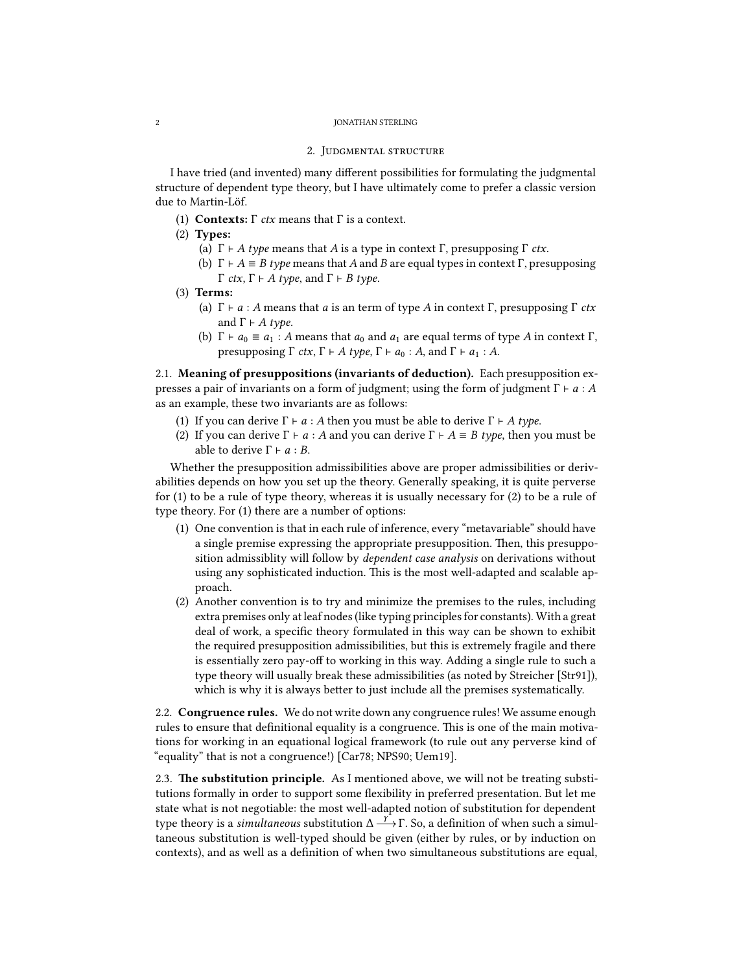#### 2 JONATHAN STERLING

## 2. Judgmental structure

I have tried (and invented) many different possibilities for formulating the judgmental structure of dependent type theory, but I have ultimately come to prefer a classic version due to Martin-Löf.

- (1) **Contexts:**  $\Gamma$  *ctx* means that  $\Gamma$  is a context.
- (2) Types:
	- (a)  $\Gamma \vdash A$  type means that A is a type in context  $\Gamma$ , presupposing  $\Gamma$  *ctx*.
	- (b)  $\Gamma \vdash A \equiv B$  type means that A and B are equal types in context  $\Gamma$ , presupposing Γ *ctx*,  $\Gamma \vdash A$  *type*, and  $\Gamma \vdash B$  *type.*
- (3) Terms:
	- (a)  $\Gamma \vdash a : A$  means that a is an term of type A in context  $\Gamma$ , presupposing  $\Gamma$  ctx and  $\Gamma \vdash A$  type.
	- (b)  $\Gamma \vdash a_0 \equiv a_1 : A$  means that  $a_0$  and  $a_1$  are equal terms of type A in context  $\Gamma$ , presupposing  $\Gamma$  *ctx*,  $\Gamma \vdash A$  *type*,  $\Gamma \vdash a_0 : A$ , and  $\Gamma \vdash a_1 : A$ .

2.1. Meaning of presuppositions (invariants of deduction). Each presupposition expresses a pair of invariants on a form of judgment; using the form of judgment  $\Gamma \vdash a : A$ as an example, these two invariants are as follows:

- (1) If you can derive  $\Gamma \vdash a : A$  then you must be able to derive  $\Gamma \vdash A$  type.
- (2) If you can derive  $\Gamma \vdash a : A$  and you can derive  $\Gamma \vdash A \equiv B$  type, then you must be able to derive  $\Gamma \vdash a : B$ .

Whether the presupposition admissibilities above are proper admissibilities or derivabilities depends on how you set up the theory. Generally speaking, it is quite perverse for (1) to be a rule of type theory, whereas it is usually necessary for (2) to be a rule of type theory. For (1) there are a number of options:

- (1) One convention is that in each rule of inference, every "metavariable" should have a single premise expressing the appropriate presupposition. Then, this presupposition admissiblity will follow by dependent case analysis on derivations without using any sophisticated induction. This is the most well-adapted and scalable approach.
- (2) Another convention is to try and minimize the premises to the rules, including extra premises only at leaf nodes (like typing principles for constants). With a great deal of work, a specific theory formulated in this way can be shown to exhibit the required presupposition admissibilities, but this is extremely fragile and there is essentially zero pay-off to working in this way. Adding a single rule to such a type theory will usually break these admissibilities (as noted by Streicher [Str91]), which is why it is always better to just include all the premises systematically.

2.2. **Congruence rules.** We do not write down any congruence rules! We assume enough rules to ensure that definitional equality is a congruence. This is one of the main motivations for working in an equational logical framework (to rule out any perverse kind of "equality" that is not a congruence!) [Car78; NPS90; Uem19].

2.3. The substitution principle. As I mentioned above, we will not be treating substitutions formally in order to support some flexibility in preferred presentation. But let me state what is not negotiable: the most well-adapted notion of substitution for dependent type theory is a *simultaneous* substitution  $\Delta \frac{r}{r}$ . So, a definition of when such a simul-<br>taneous substitution is well-typed should be given (either by rules or by induction on taneous substitution is well-typed should be given (either by rules, or by induction on contexts), and as well as a definition of when two simultaneous substitutions are equal,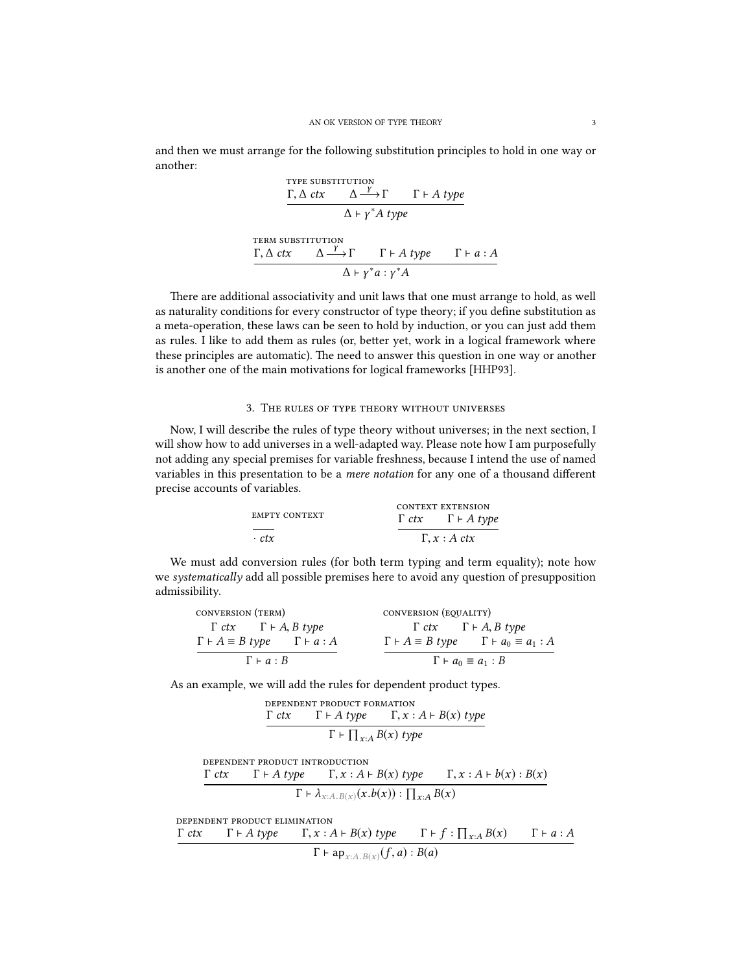and then we must arrange for the following substitution principles to hold in one way or another:

THE SUBSTITUTION

\n
$$
\frac{\Gamma, \Delta \, \text{ctx} \quad \Delta \xrightarrow{Y} \Gamma \quad \Gamma \vdash A \, \text{type}}{\Delta \vdash y^* A \, \text{type}}
$$
\nTERM SUBSTITUTION

\n
$$
\frac{\Gamma, \Delta \, \text{ctx} \quad \Delta \xrightarrow{Y} \Gamma \quad \Gamma \vdash A \, \text{type} \quad \Gamma \vdash a : A}{\Delta \vdash y^* a : y^* A}
$$

There are additional associativity and unit laws that one must arrange to hold, as well as naturality conditions for every constructor of type theory; if you define substitution as a meta-operation, these laws can be seen to hold by induction, or you can just add them as rules. I like to add them as rules (or, better yet, work in a logical framework where these principles are automatic). The need to answer this question in one way or another is another one of the main motivations for logical frameworks [HHP93].

# 3. The rules of type theory without universes

Now, I will describe the rules of type theory without universes; in the next section, I will show how to add universes in a well-adapted way. Please note how I am purposefully not adding any special premises for variable freshness, because I intend the use of named variables in this presentation to be a *mere notation* for any one of a thousand different precise accounts of variables.

| <b>EMPTY CONTEXT</b> | <b>CONTEXT EXTENSION</b><br>$\Gamma$ ctx $\Gamma \vdash A$ type |  |  |
|----------------------|-----------------------------------------------------------------|--|--|
| $\cdot$ ctx          | $\Gamma, x : A \, \text{ctx}$                                   |  |  |

We must add conversion rules (for both term typing and term equality); note how we systematically add all possible premises here to avoid any question of presupposition admissibility.

| CONVERSION (TERM)                                     | CONVERSION (EQUALITY)                                              |  |  |
|-------------------------------------------------------|--------------------------------------------------------------------|--|--|
| $\Gamma$ ctx $\Gamma \vdash A, B$ type                | $\Gamma$ ctx $\Gamma \vdash A, B$ type                             |  |  |
| $\Gamma \vdash A \equiv B$ type $\Gamma \vdash a : A$ | $\Gamma \vdash A \equiv B$ type $\Gamma \vdash a_0 \equiv a_1 : A$ |  |  |
| $\Gamma \vdash a : B$                                 | $\Gamma \vdash a_0 \equiv a_1 : B$                                 |  |  |

As an example, we will add the rules for dependent product types.

**DEPENDENT PRODUCT FORMATION**  

$$
\frac{\Gamma \, dx \qquad \Gamma \vdash A \, type \qquad \Gamma, x : A \vdash B(x) \, type}{\Gamma \vdash \Pi \vdash P(x) \, true}
$$

$$
\Gamma \vdash \prod_{x:A} B(x) \text{ type}
$$

dependent product introduction

$$
\frac{\Gamma \, \, \text{ctx} \qquad \Gamma \vdash A \, \text{type} \qquad \Gamma, x : A \vdash B(x) \, \text{type} \qquad \Gamma, x : A \vdash b(x) : B(x)}{\Gamma \vdash \lambda_{x:A.B(x)}(x.b(x)) : \prod_{x:A} B(x)}
$$

dependent product elimination

$$
\frac{\Gamma \, \, \text{ctx} \qquad \Gamma \vdash A \, \text{type} \qquad \Gamma, x : A \vdash B(x) \, \text{type} \qquad \Gamma \vdash f : \prod_{x:A} B(x) \qquad \Gamma \vdash a : A}{\Gamma \vdash \text{ap}_{x:A.B(x)}(f,a) : B(a)}
$$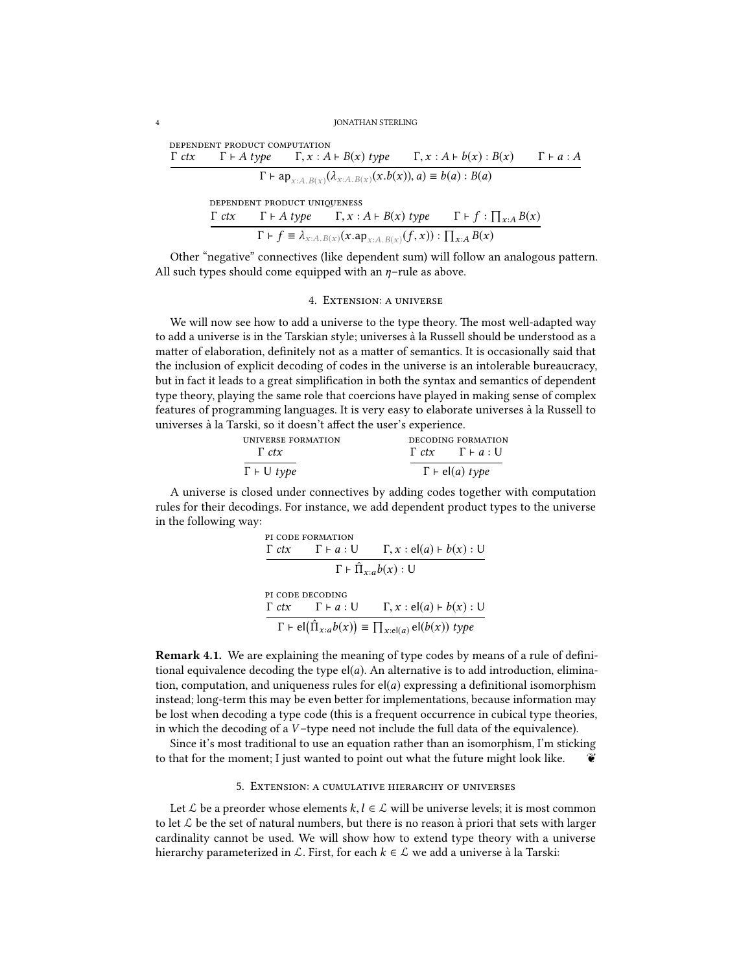#### 4 JONATHAN STERLING

| DEPENDENT PRODUCT COMPUTATION |                                                                                                 |  |                       |
|-------------------------------|-------------------------------------------------------------------------------------------------|--|-----------------------|
|                               | $\Gamma$ ctx $\Gamma$ + A type $\Gamma$ , $x$ : A + B(x) type $\Gamma$ , $x$ : A + b(x) : B(x)  |  | $\Gamma \vdash a : A$ |
|                               | $\Gamma \vdash ap_{x:A.B(x)}(\lambda_{x:A.B(x)}(x.b(x)), a) \equiv b(a) : B(a)$                 |  |                       |
|                               | DEPENDENT PRODUCT UNIQUENESS                                                                    |  |                       |
|                               | $\Gamma$ ctx $\Gamma$ + A type $\Gamma$ , $x$ : A + B(x) type $\Gamma$ + f : $\prod_{x:A} B(x)$ |  |                       |
|                               | $\Gamma$ + $f \equiv \lambda_{x:A.B(x)}(x.ap_{x:A.B(x)}(f,x)) : \prod_{x:A} B(x)$               |  |                       |

Other "negative" connectives (like dependent sum) will follow an analogous pattern. All such types should come equipped with an  $\eta$ -rule as above.

## 4. Extension: a universe

We will now see how to add a universe to the type theory. The most well-adapted way to add a universe is in the Tarskian style; universes a la Russell should be understood as a ` matter of elaboration, definitely not as a matter of semantics. It is occasionally said that the inclusion of explicit decoding of codes in the universe is an intolerable bureaucracy, but in fact it leads to a great simplification in both the syntax and semantics of dependent type theory, playing the same role that coercions have played in making sense of complex features of programming languages. It is very easy to elaborate universes a la Russell to ` universes à la Tarski, so it doesn't affect the user's experience.

| <b>UNIVERSE FORMATION</b><br>$\Gamma$ ctx | DECODING FORMATION<br>$\Gamma$ ctx $\Gamma \vdash a: \mathsf{U}$ |
|-------------------------------------------|------------------------------------------------------------------|
| $\Gamma \vdash \cup \textit{type}$        | $\Gamma \vdash$ el(a) type                                       |

A universe is closed under connectives by adding codes together with computation rules for their decodings. For instance, we add dependent product types to the universe in the following way:

PI CODE FORMATION  
\n
$$
\frac{\Gamma \, ctx \qquad \Gamma \vdash a : \bigcup \qquad \Gamma, x : \text{el}(a) \vdash b(x) : \text{U}}{\Gamma \vdash \hat{\Pi}_{x:a} b(x) : \text{U}}
$$
\nPI CODE DECDING  
\n
$$
\frac{\Gamma \, ctx \qquad \Gamma \vdash a : \text{U} \qquad \Gamma, x : \text{el}(a) \vdash b(x) : \text{U}}{\Gamma \vdash \text{el}(\hat{\Pi}_{x:a} b(x))} \equiv \prod_{x : \text{el}(a)} \text{el}(b(x)) \, type
$$

Remark 4.1. We are explaining the meaning of type codes by means of a rule of definitional equivalence decoding the type  $e|(a)$ . An alternative is to add introduction, elimination, computation, and uniqueness rules for  $el(a)$  expressing a definitional isomorphism instead; long-term this may be even better for implementations, because information may be lost when decoding a type code (this is a frequent occurrence in cubical type theories, in which the decoding of a V –type need not include the full data of the equivalence).

Since it's most traditional to use an equation rather than an isomorphism, I'm sticking to that for the moment; I just wanted to point out what the future might look like.  $\ddot{\bullet}$ 

#### 5. Extension: a cumulative hierarchy of universes

Let  $\mathcal L$  be a preorder whose elements  $k, l \in \mathcal L$  will be universe levels; it is most common to let  $\mathcal L$  be the set of natural numbers, but there is no reason à priori that sets with larger cardinality cannot be used. We will show how to extend type theory with a universe hierarchy parameterized in  $\mathcal L$ . First, for each  $k \in \mathcal L$  we add a universe à la Tarski: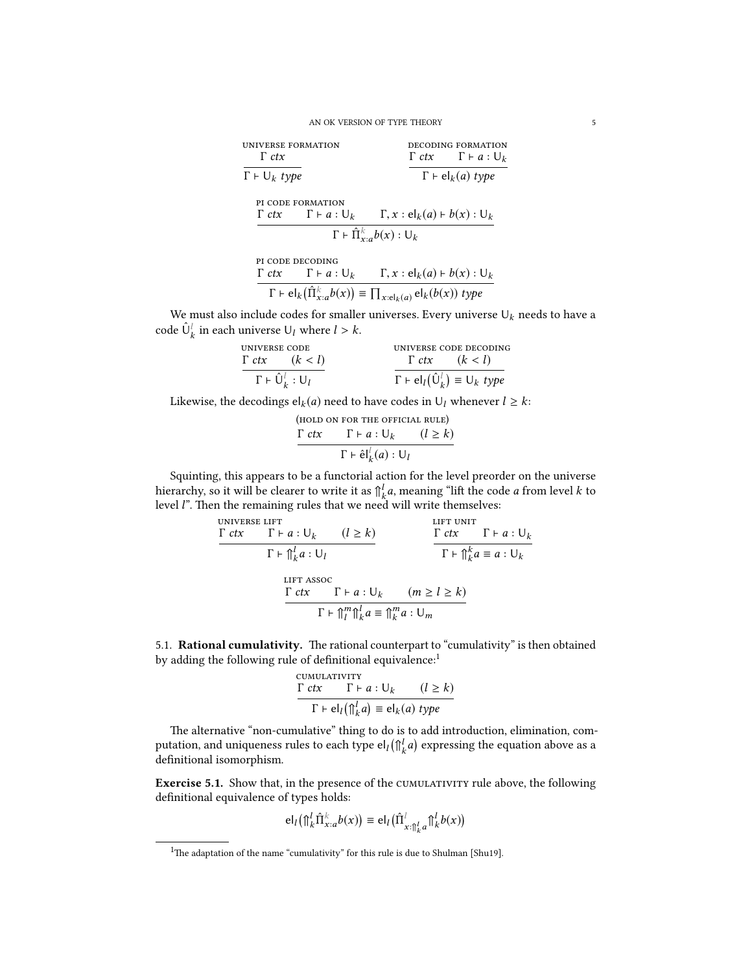#### AN OK VERSION OF TYPE THEORY 5

| UNIVERSE FORMATION<br>$\Gamma$ ctx     |                                               | DECODING FORMATION<br>$\Gamma$ ctx $\Gamma \vdash a: \mathsf{U}_k$ |  |  |
|----------------------------------------|-----------------------------------------------|--------------------------------------------------------------------|--|--|
| $\Gamma \vdash \bigcup_k \text{ type}$ |                                               | $\Gamma \vdash el_k(a) \text{ type}$                               |  |  |
| PI CODE FORMATION                      | $\Gamma$ ctx $\Gamma \vdash a : \bigcup_{k}$  | $\Gamma, x : \mathsf{el}_k(a) \vdash b(x) : \mathsf{U}_k$          |  |  |
|                                        |                                               | $\Gamma \vdash \hat{\Pi}_{x:a}^k b(x) : \mathsf{U}_k$              |  |  |
| PI CODE DECODING                       |                                               |                                                                    |  |  |
|                                        | $\Gamma$ ctx $\Gamma \vdash a : \bigcup_{k}$  | $\Gamma, x : el_k(a) \vdash b(x) : \bigcup_k$                      |  |  |
|                                        | $\lambda$ , $\lambda$ , $\lambda$ , $\lambda$ |                                                                    |  |  |

 $\Gamma \vdash \mathsf{el}_k\big(\hat{\Pi}_{x:a}^k b(x)\big) \equiv \prod_{x:\mathsf{el}_k(a)} \mathsf{el}_k(b(x))$  type

We must also include codes for smaller universes. Every universe  $\mathsf{U}_k$  needs to have a code  $\hat{\mathbf{U}}_k^l$  in each universe  $\mathbf{U}_l$  where  $l > k$ .

| UNIVERSE CODE                                       | UNIVERSE CODE DECODING                                    |
|-----------------------------------------------------|-----------------------------------------------------------|
| $\Gamma$ ctx $(k < l)$                              | $\Gamma$ ctx $(k < l)$                                    |
| $\Gamma \vdash \hat{\mathsf{U}}_k^l : \mathsf{U}_l$ | $\Gamma \vdash el_l(\hat{U}_k^l) \equiv U_k \text{ type}$ |

Likewise, the decodings  $\mathsf{el}_k(a)$  need to have codes in  $\mathsf{U}_l$  whenever  $l \geq k$ :

(hold on for the official rule) <sup>Γ</sup> ctx <sup>Γ</sup> ` <sup>a</sup> : <sup>U</sup><sup>k</sup> (<sup>l</sup> <sup>≥</sup> <sup>k</sup>) Γ ` el<sup>ˆ</sup> l k (a) : <sup>U</sup><sup>l</sup>

Squinting, this appears to be a functorial action for the level preorder on the universe hierarchy, so it will be clearer to write it as  $\bigcap_{k=0}^{l} a$ , meaning "lift the code a from level k to level  $l$ ". Then the remaining rules that we need will write themselves: level  $l$ ". Then the remaining rules that we need will write themselves:

universe lift <sup>Γ</sup> ctx <sup>Γ</sup> ` <sup>a</sup> : <sup>U</sup><sup>k</sup> (<sup>l</sup> <sup>≥</sup> <sup>k</sup>) Γ ` ⇑<sup>l</sup> k <sup>a</sup> : <sup>U</sup><sup>l</sup> lift unit <sup>Γ</sup> ctx <sup>Γ</sup> ` <sup>a</sup> : <sup>U</sup><sup>k</sup> Γ ` ⇑<sup>k</sup> k <sup>a</sup> <sup>≡</sup> <sup>a</sup> : <sup>U</sup><sup>k</sup> lift assoc <sup>Γ</sup> ctx <sup>Γ</sup> ` <sup>a</sup> : <sup>U</sup><sup>k</sup> (<sup>m</sup> <sup>≥</sup> <sup>l</sup> <sup>≥</sup> <sup>k</sup>) Γ ` ⇑<sup>m</sup> l ⇑ l k a ≡ ⇑<sup>m</sup> k <sup>a</sup> : <sup>U</sup><sup>m</sup>

5.1. Rational cumulativity. The rational counterpart to "cumulativity" is then obtained by adding the following rule of definitional equivalence:<sup>1</sup>

$$
\frac{\text{CUMULATIVITY}}{\Gamma \vdash el_l(\hat{\mathcal{T}}_k^l a)} = \text{el}_k(a) \text{ type}
$$

 $\mathcal{L}(\mathbb{R}^n)$  are alternative "non-cumulative" thing to do is to add introduction, elimination, computation, and uniqueness rules to each type el $_l$ ( $\bigcap_{k}^{l} a$ <br>definitional isomorphism ) expressing the equation above as a definitional isomorphism.

Exercise 5.1. Show that, in the presence of the CUMULATIVITY rule above, the following definitional equivalence of types holds:

$$
\mathsf{el}_l\big(\bigcap_k^l \hat{\Pi}_{x:a}^k b(x)\big) \equiv \mathsf{el}_l\big(\hat{\Pi}_{x:\bigcap_k^l a}^l \bigcap_k^l b(x)\big)
$$

<sup>&</sup>lt;sup>1</sup>The adaptation of the name "cumulativity" for this rule is due to Shulman [Shu19].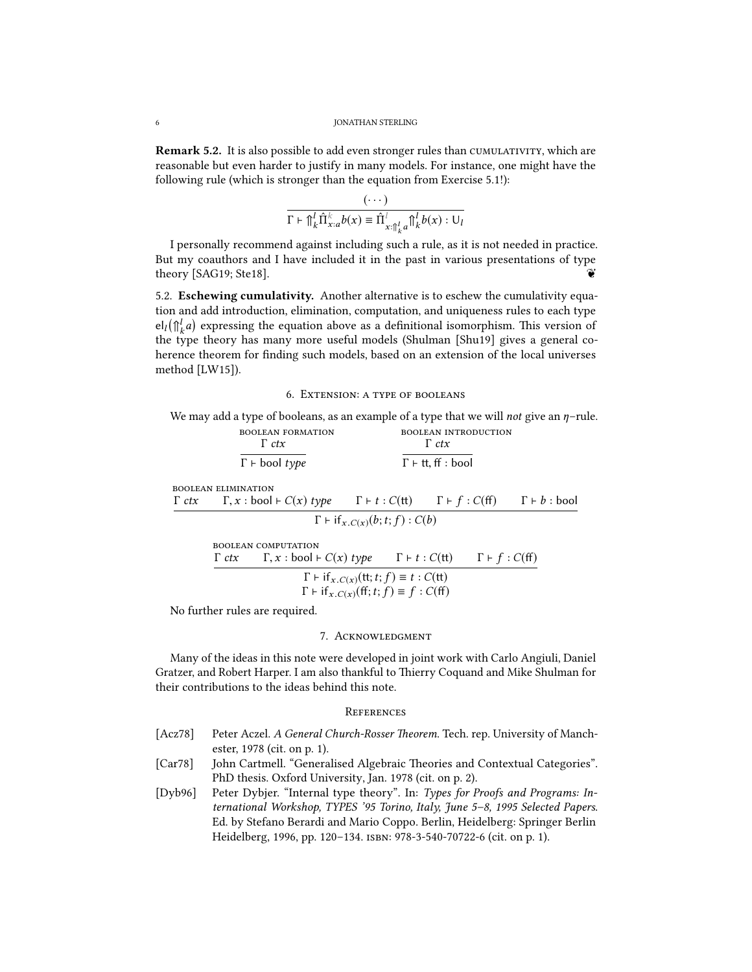Remark 5.2. It is also possible to add even stronger rules than CUMULATIVITY, which are reasonable but even harder to justify in many models. For instance, one might have the following rule (which is stronger than the equation from Exercise 5.1!):

$$
\frac{(\cdots)}{\Gamma + \int_{k}^{l} \hat{\Pi}_{x:a}^{k} b(x) \equiv \hat{\Pi}_{x:\int_{k}^{l} a}^{l} \hat{\Pi}_{k}^{l} b(x) : \mathsf{U}_{l}
$$

I personally recommend against including such a rule, as it is not needed in practice. But my coauthors and I have included it in the past in various presentations of type theory [SAG19; Ste18].

5.2. Eschewing cumulativity. Another alternative is to eschew the cumulativity equation and add introduction, elimination, computation, and uniqueness rules to each type  $\text{el}_l(\mathcal{F}_k^l a)$  expressing the equation above as a definitional isomorphism. This version of  $\tau_{\text{tr}}(\mathbf{r}_{k})$  is the type theory has many more useful models (Shulman [Shu19] gives a general coherence theorem for finding such models, based on an extension of the local universes method [LW15]).

## 6. Extension: a type of booleans

We may add a type of booleans, as an example of a type that we will not give an  $\eta$ -rule. boolean formation boolean introduction

|              |                            | <b>BUULEAN FURMATION</b><br>$\Gamma$ ctx                                                                                                                    | <b>BUULEAN INTRODUCTION</b><br>$\Gamma$ ctx                   |  |  |
|--------------|----------------------------|-------------------------------------------------------------------------------------------------------------------------------------------------------------|---------------------------------------------------------------|--|--|
|              |                            | $\Gamma$ + bool type                                                                                                                                        | $\Gamma$ + tt, ff : bool                                      |  |  |
|              | <b>BOOLEAN ELIMINATION</b> |                                                                                                                                                             |                                                               |  |  |
| $\Gamma$ ctx |                            | $\Gamma, x : \text{bool} \vdash C(x) \text{ type } \Gamma \vdash t : C(\text{tt}) \quad \Gamma \vdash f : C(\text{ff}) \quad \Gamma \vdash b : \text{bool}$ |                                                               |  |  |
|              |                            |                                                                                                                                                             | $\Gamma$ + if $_{x.C(x)}(b; t; f)$ : $C(b)$                   |  |  |
|              |                            | <b>BOOLEAN COMPUTATION</b>                                                                                                                                  |                                                               |  |  |
|              |                            | $\Gamma$ ctx $\Gamma, x : \text{bool} \vdash C(x)$ type $\Gamma \vdash t : C(\text{tt}) \quad \Gamma \vdash f : C(\text{ff})$                               |                                                               |  |  |
|              |                            |                                                                                                                                                             | $\Gamma$ + if <sub>x.C(x)</sub> (tt; t; f) $\equiv$ t : C(tt) |  |  |
|              |                            |                                                                                                                                                             | $\Gamma$ + if $_{x.C(x)}$ (ff; t; f) $\equiv$ f : C(ff)       |  |  |
|              |                            |                                                                                                                                                             |                                                               |  |  |

No further rules are required.

## 7. Acknowledgment

Many of the ideas in this note were developed in joint work with Carlo Angiuli, Daniel Gratzer, and Robert Harper. I am also thankful to Thierry Coquand and Mike Shulman for their contributions to the ideas behind this note.

## **REFERENCES**

- [Acz78] Peter Aczel. A General Church-Rosser Theorem. Tech. rep. University of Manchester, 1978 (cit. on p. 1).
- [Car78] John Cartmell. "Generalised Algebraic Theories and Contextual Categories". PhD thesis. Oxford University, Jan. 1978 (cit. on p. 2).
- [Dyb96] Peter Dybjer. "Internal type theory". In: Types for Proofs and Programs: International Workshop, TYPES '95 Torino, Italy, June 5–8, 1995 Selected Papers. Ed. by Stefano Berardi and Mario Coppo. Berlin, Heidelberg: Springer Berlin Heidelberg, 1996, pp. 120–134. isbn: 978-3-540-70722-6 (cit. on p. 1).